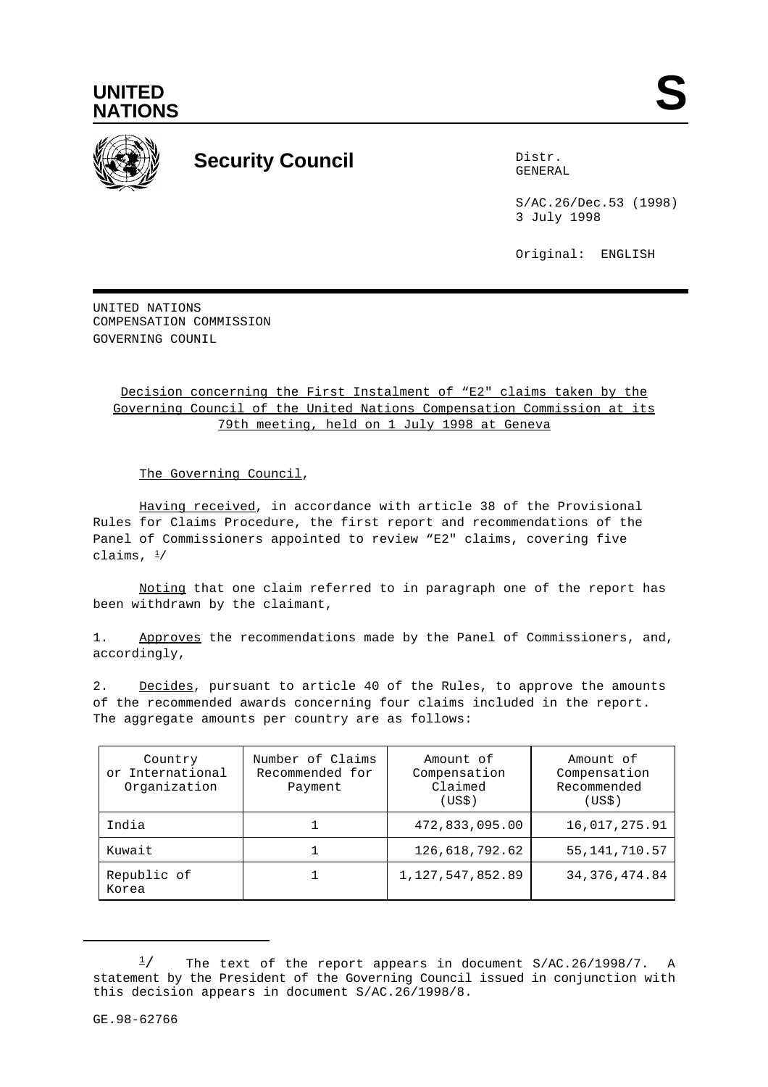



## **Security Council** Distribution Distribution of Distribution Distribution Distribution Distribution Distribution Distribution Distribution Distribution Distribution Distribution Distribution Distribution Distribution Distr

GENERAL

S/AC.26/Dec.53 (1998) 3 July 1998

Original: ENGLISH

UNITED NATIONS COMPENSATION COMMISSION GOVERNING COUNTL

## Decision concerning the First Instalment of "E2" claims taken by the Governing Council of the United Nations Compensation Commission at its 79th meeting, held on 1 July 1998 at Geneva

The Governing Council,

Having received, in accordance with article 38 of the Provisional Rules for Claims Procedure, the first report and recommendations of the Panel of Commissioners appointed to review "E2" claims, covering five claims,  $\frac{1}{2}$ 

Noting that one claim referred to in paragraph one of the report has been withdrawn by the claimant,

1. Approves the recommendations made by the Panel of Commissioners, and, accordingly,

2. Decides, pursuant to article 40 of the Rules, to approve the amounts of the recommended awards concerning four claims included in the report. The aggregate amounts per country are as follows:

| Country<br>or International<br>Organization | Number of Claims<br>Recommended for<br>Payment | Amount of<br>Compensation<br>Claimed<br>(USS) | Amount of<br>Compensation<br>Recommended<br>(USS) |
|---------------------------------------------|------------------------------------------------|-----------------------------------------------|---------------------------------------------------|
| India                                       |                                                | 472,833,095.00                                | 16,017,275.91                                     |
| Kuwait                                      |                                                | 126,618,792.62                                | 55, 141, 710. 57                                  |
| Republic of<br>Korea                        |                                                | 1, 127, 547, 852.89                           | 34, 376, 474.84                                   |

The text of the report appears in document S/AC.26/1998/7. A  $\frac{1}{2}$ statement by the President of the Governing Council issued in conjunction with this decision appears in document S/AC.26/1998/8.